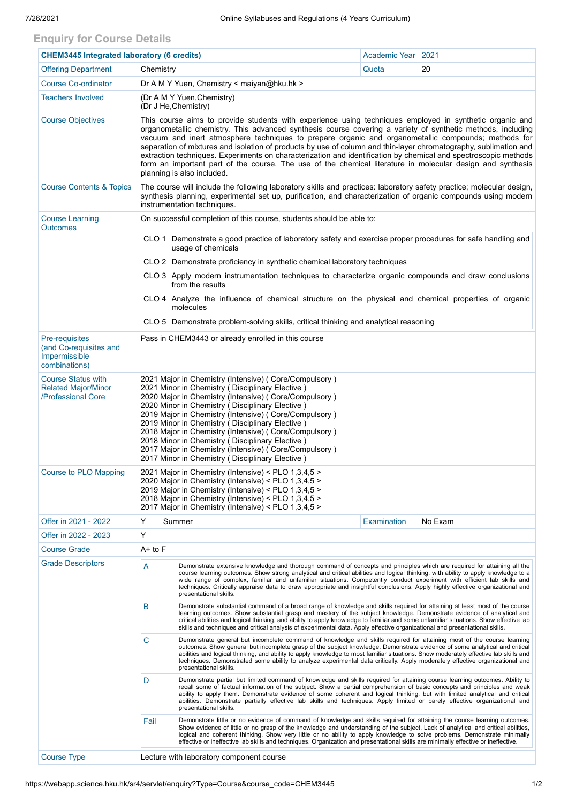## **Enquiry for Course Details**

| <b>CHEM3445 Integrated laboratory (6 credits)</b>                                 |                                                                                                                                                                                                                                                                                                                                                                                                                                                                                                                                                                                                                                                                                                                  |                                                                                                                                                                                                                                                                                                                                                                                                                                                                                                                                                       | Academic Year   2021 |         |  |  |
|-----------------------------------------------------------------------------------|------------------------------------------------------------------------------------------------------------------------------------------------------------------------------------------------------------------------------------------------------------------------------------------------------------------------------------------------------------------------------------------------------------------------------------------------------------------------------------------------------------------------------------------------------------------------------------------------------------------------------------------------------------------------------------------------------------------|-------------------------------------------------------------------------------------------------------------------------------------------------------------------------------------------------------------------------------------------------------------------------------------------------------------------------------------------------------------------------------------------------------------------------------------------------------------------------------------------------------------------------------------------------------|----------------------|---------|--|--|
| <b>Offering Department</b>                                                        | Chemistry                                                                                                                                                                                                                                                                                                                                                                                                                                                                                                                                                                                                                                                                                                        |                                                                                                                                                                                                                                                                                                                                                                                                                                                                                                                                                       | Quota                | 20      |  |  |
| <b>Course Co-ordinator</b>                                                        | Dr A M Y Yuen, Chemistry < maiyan@hku.hk >                                                                                                                                                                                                                                                                                                                                                                                                                                                                                                                                                                                                                                                                       |                                                                                                                                                                                                                                                                                                                                                                                                                                                                                                                                                       |                      |         |  |  |
| <b>Teachers Involved</b>                                                          | (Dr A M Y Yuen, Chemistry)<br>(Dr J He, Chemistry)                                                                                                                                                                                                                                                                                                                                                                                                                                                                                                                                                                                                                                                               |                                                                                                                                                                                                                                                                                                                                                                                                                                                                                                                                                       |                      |         |  |  |
| <b>Course Objectives</b>                                                          | This course aims to provide students with experience using techniques employed in synthetic organic and<br>organometallic chemistry. This advanced synthesis course covering a variety of synthetic methods, including<br>vacuum and inert atmosphere techniques to prepare organic and organometallic compounds; methods for<br>separation of mixtures and isolation of products by use of column and thin-layer chromatography, sublimation and<br>extraction techniques. Experiments on characterization and identification by chemical and spectroscopic methods<br>form an important part of the course. The use of the chemical literature in molecular design and synthesis<br>planning is also included. |                                                                                                                                                                                                                                                                                                                                                                                                                                                                                                                                                       |                      |         |  |  |
| <b>Course Contents &amp; Topics</b>                                               | The course will include the following laboratory skills and practices: laboratory safety practice; molecular design,<br>synthesis planning, experimental set up, purification, and characterization of organic compounds using modern<br>instrumentation techniques.                                                                                                                                                                                                                                                                                                                                                                                                                                             |                                                                                                                                                                                                                                                                                                                                                                                                                                                                                                                                                       |                      |         |  |  |
| <b>Course Learning</b><br><b>Outcomes</b>                                         | On successful completion of this course, students should be able to:                                                                                                                                                                                                                                                                                                                                                                                                                                                                                                                                                                                                                                             |                                                                                                                                                                                                                                                                                                                                                                                                                                                                                                                                                       |                      |         |  |  |
|                                                                                   |                                                                                                                                                                                                                                                                                                                                                                                                                                                                                                                                                                                                                                                                                                                  | CLO 1 Demonstrate a good practice of laboratory safety and exercise proper procedures for safe handling and<br>usage of chemicals                                                                                                                                                                                                                                                                                                                                                                                                                     |                      |         |  |  |
|                                                                                   |                                                                                                                                                                                                                                                                                                                                                                                                                                                                                                                                                                                                                                                                                                                  | CLO 2 Demonstrate proficiency in synthetic chemical laboratory techniques                                                                                                                                                                                                                                                                                                                                                                                                                                                                             |                      |         |  |  |
|                                                                                   |                                                                                                                                                                                                                                                                                                                                                                                                                                                                                                                                                                                                                                                                                                                  | CLO 3 Apply modern instrumentation techniques to characterize organic compounds and draw conclusions<br>from the results                                                                                                                                                                                                                                                                                                                                                                                                                              |                      |         |  |  |
|                                                                                   |                                                                                                                                                                                                                                                                                                                                                                                                                                                                                                                                                                                                                                                                                                                  | CLO 4 Analyze the influence of chemical structure on the physical and chemical properties of organic<br>molecules                                                                                                                                                                                                                                                                                                                                                                                                                                     |                      |         |  |  |
|                                                                                   | CLO 5 Demonstrate problem-solving skills, critical thinking and analytical reasoning                                                                                                                                                                                                                                                                                                                                                                                                                                                                                                                                                                                                                             |                                                                                                                                                                                                                                                                                                                                                                                                                                                                                                                                                       |                      |         |  |  |
| <b>Pre-requisites</b><br>(and Co-requisites and<br>Impermissible<br>combinations) | Pass in CHEM3443 or already enrolled in this course                                                                                                                                                                                                                                                                                                                                                                                                                                                                                                                                                                                                                                                              |                                                                                                                                                                                                                                                                                                                                                                                                                                                                                                                                                       |                      |         |  |  |
| <b>Course Status with</b><br><b>Related Major/Minor</b><br>/Professional Core     | 2021 Major in Chemistry (Intensive) (Core/Compulsory)<br>2021 Minor in Chemistry (Disciplinary Elective)<br>2020 Major in Chemistry (Intensive) (Core/Compulsory)<br>2020 Minor in Chemistry (Disciplinary Elective)<br>2019 Major in Chemistry (Intensive) (Core/Compulsory)<br>2019 Minor in Chemistry (Disciplinary Elective)<br>2018 Major in Chemistry (Intensive) (Core/Compulsory)<br>2018 Minor in Chemistry (Disciplinary Elective)<br>2017 Major in Chemistry (Intensive) (Core/Compulsory)<br>2017 Minor in Chemistry (Disciplinary Elective)                                                                                                                                                         |                                                                                                                                                                                                                                                                                                                                                                                                                                                                                                                                                       |                      |         |  |  |
| Course to PLO Mapping                                                             | 2021 Major in Chemistry (Intensive) < PLO 1,3,4,5 ><br>2020 Major in Chemistry (Intensive) < PLO 1,3,4,5 ><br>2019 Major in Chemistry (Intensive) < PLO 1,3,4,5 ><br>2018 Major in Chemistry (Intensive) < PLO 1,3,4,5 ><br>2017 Major in Chemistry (Intensive) < PLO 1,3,4,5 >                                                                                                                                                                                                                                                                                                                                                                                                                                  |                                                                                                                                                                                                                                                                                                                                                                                                                                                                                                                                                       |                      |         |  |  |
| Offer in 2021 - 2022                                                              | Y                                                                                                                                                                                                                                                                                                                                                                                                                                                                                                                                                                                                                                                                                                                | Summer                                                                                                                                                                                                                                                                                                                                                                                                                                                                                                                                                | Examination          | No Exam |  |  |
| Offer in 2022 - 2023                                                              | Y                                                                                                                                                                                                                                                                                                                                                                                                                                                                                                                                                                                                                                                                                                                |                                                                                                                                                                                                                                                                                                                                                                                                                                                                                                                                                       |                      |         |  |  |
| <b>Course Grade</b>                                                               | A+ to F                                                                                                                                                                                                                                                                                                                                                                                                                                                                                                                                                                                                                                                                                                          |                                                                                                                                                                                                                                                                                                                                                                                                                                                                                                                                                       |                      |         |  |  |
| <b>Grade Descriptors</b>                                                          | Α                                                                                                                                                                                                                                                                                                                                                                                                                                                                                                                                                                                                                                                                                                                | Demonstrate extensive knowledge and thorough command of concepts and principles which are required for attaining all the<br>course learning outcomes. Show strong analytical and critical abilities and logical thinking, with ability to apply knowledge to a<br>wide range of complex, familiar and unfamiliar situations. Competently conduct experiment with efficient lab skills and<br>techniques. Critically appraise data to draw appropriate and insightful conclusions. Apply highly effective organizational and<br>presentational skills. |                      |         |  |  |
|                                                                                   | B<br>Demonstrate substantial command of a broad range of knowledge and skills required for attaining at least most of the course<br>learning outcomes. Show substantial grasp and mastery of the subject knowledge. Demonstrate evidence of analytical and<br>critical abilities and logical thinking, and ability to apply knowledge to familiar and some unfamiliar situations. Show effective lab<br>skills and techniques and critical analysis of experimental data. Apply effective organizational and presentational skills.                                                                                                                                                                              |                                                                                                                                                                                                                                                                                                                                                                                                                                                                                                                                                       |                      |         |  |  |
|                                                                                   | C                                                                                                                                                                                                                                                                                                                                                                                                                                                                                                                                                                                                                                                                                                                | Demonstrate general but incomplete command of knowledge and skills required for attaining most of the course learning<br>outcomes. Show general but incomplete grasp of the subject knowledge. Demonstrate evidence of some analytical and critical<br>abilities and logical thinking, and ability to apply knowledge to most familiar situations. Show moderately effective lab skills and<br>techniques. Demonstrated some ability to analyze experimental data critically. Apply moderately effective organizational and<br>presentational skills. |                      |         |  |  |
|                                                                                   | D                                                                                                                                                                                                                                                                                                                                                                                                                                                                                                                                                                                                                                                                                                                | Demonstrate partial but limited command of knowledge and skills required for attaining course learning outcomes. Ability to<br>recall some of factual information of the subject. Show a partial comprehension of basic concepts and principles and weak<br>ability to apply them. Demonstrate evidence of some coherent and logical thinking, but with limited analytical and critical<br>abilities. Demonstrate partially effective lab skills and techniques. Apply limited or barely effective organizational and<br>presentational skills.       |                      |         |  |  |
|                                                                                   | Fail                                                                                                                                                                                                                                                                                                                                                                                                                                                                                                                                                                                                                                                                                                             | Demonstrate little or no evidence of command of knowledge and skills required for attaining the course learning outcomes.<br>Show evidence of little or no grasp of the knowledge and understanding of the subject. Lack of analytical and critical abilities,<br>logical and coherent thinking. Show very little or no ability to apply knowledge to solve problems. Demonstrate minimally<br>effective or ineffective lab skills and techniques. Organization and presentational skills are minimally effective or ineffective.                     |                      |         |  |  |
| <b>Course Type</b>                                                                | Lecture with laboratory component course                                                                                                                                                                                                                                                                                                                                                                                                                                                                                                                                                                                                                                                                         |                                                                                                                                                                                                                                                                                                                                                                                                                                                                                                                                                       |                      |         |  |  |